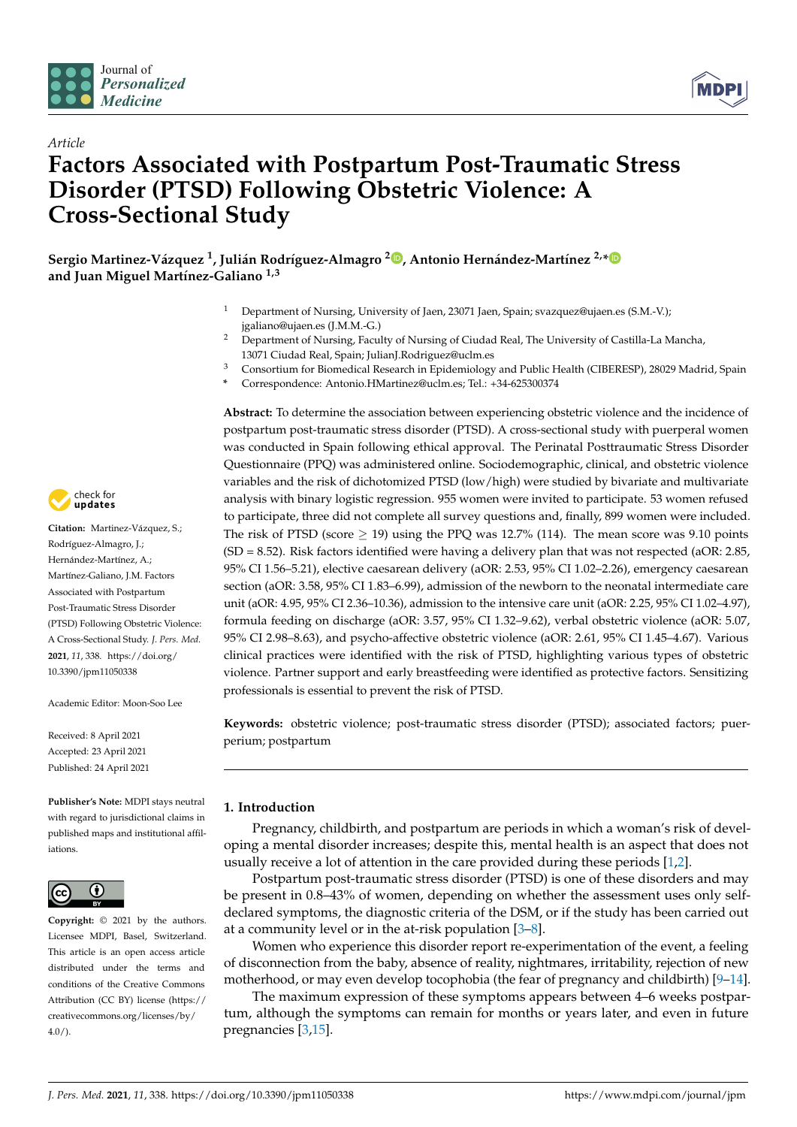

*Article*



# **Factors Associated with Postpartum Post-Traumatic Stress Disorder (PTSD) Following Obstetric Violence: A Cross-Sectional Study**

**Sergio Martinez-Vázquez <sup>1</sup> , Julián Rodríguez-Almagro <sup>2</sup> [,](https://orcid.org/0000-0002-6239-2842) Antonio Hernández-Martínez 2,[\\*](https://orcid.org/0000-0002-9100-1134) and Juan Miguel Martínez-Galiano 1,3**

- <sup>1</sup> Department of Nursing, University of Jaen, 23071 Jaen, Spain; svazquez@ujaen.es (S.M.-V.); jgaliano@ujaen.es (J.M.M.-G.)
- <sup>2</sup> Department of Nursing, Faculty of Nursing of Ciudad Real, The University of Castilla-La Mancha, 13071 Ciudad Real, Spain; JulianJ.Rodriguez@uclm.es
- <sup>3</sup> Consortium for Biomedical Research in Epidemiology and Public Health (CIBERESP), 28029 Madrid, Spain
	- **\*** Correspondence: Antonio.HMartinez@uclm.es; Tel.: +34-625300374

**Abstract:** To determine the association between experiencing obstetric violence and the incidence of postpartum post-traumatic stress disorder (PTSD). A cross-sectional study with puerperal women was conducted in Spain following ethical approval. The Perinatal Posttraumatic Stress Disorder Questionnaire (PPQ) was administered online. Sociodemographic, clinical, and obstetric violence variables and the risk of dichotomized PTSD (low/high) were studied by bivariate and multivariate analysis with binary logistic regression. 955 women were invited to participate. 53 women refused to participate, three did not complete all survey questions and, finally, 899 women were included. The risk of PTSD (score  $\geq$  19) using the PPQ was 12.7% (114). The mean score was 9.10 points  $(SD = 8.52)$ . Risk factors identified were having a delivery plan that was not respected (aOR: 2.85, 95% CI 1.56–5.21), elective caesarean delivery (aOR: 2.53, 95% CI 1.02–2.26), emergency caesarean section (aOR: 3.58, 95% CI 1.83–6.99), admission of the newborn to the neonatal intermediate care unit (aOR: 4.95, 95% CI 2.36–10.36), admission to the intensive care unit (aOR: 2.25, 95% CI 1.02–4.97), formula feeding on discharge (aOR: 3.57, 95% CI 1.32–9.62), verbal obstetric violence (aOR: 5.07, 95% CI 2.98–8.63), and psycho-affective obstetric violence (aOR: 2.61, 95% CI 1.45–4.67). Various clinical practices were identified with the risk of PTSD, highlighting various types of obstetric violence. Partner support and early breastfeeding were identified as protective factors. Sensitizing professionals is essential to prevent the risk of PTSD.

**Keywords:** obstetric violence; post-traumatic stress disorder (PTSD); associated factors; puerperium; postpartum

# **1. Introduction**

Pregnancy, childbirth, and postpartum are periods in which a woman's risk of developing a mental disorder increases; despite this, mental health is an aspect that does not usually receive a lot of attention in the care provided during these periods [\[1](#page-9-0)[,2\]](#page-9-1).

Postpartum post-traumatic stress disorder (PTSD) is one of these disorders and may be present in 0.8–43% of women, depending on whether the assessment uses only selfdeclared symptoms, the diagnostic criteria of the DSM, or if the study has been carried out at a community level or in the at-risk population [\[3–](#page-9-2)[8\]](#page-9-3).

Women who experience this disorder report re-experimentation of the event, a feeling of disconnection from the baby, absence of reality, nightmares, irritability, rejection of new motherhood, or may even develop tocophobia (the fear of pregnancy and childbirth) [\[9](#page-9-4)[–14\]](#page-9-5).

The maximum expression of these symptoms appears between 4–6 weeks postpartum, although the symptoms can remain for months or years later, and even in future pregnancies [\[3,](#page-9-2)[15\]](#page-9-6).



**Citation:** Martinez-Vázquez, S.; Rodríguez-Almagro, J.; Hernández-Martínez, A.; Martínez-Galiano, J.M. Factors Associated with Postpartum Post-Traumatic Stress Disorder (PTSD) Following Obstetric Violence: A Cross-Sectional Study. *J. Pers. Med.* **2021**, *11*, 338. [https://doi.org/](https://doi.org/10.3390/jpm11050338) [10.3390/jpm11050338](https://doi.org/10.3390/jpm11050338)

Academic Editor: Moon-Soo Lee

Received: 8 April 2021 Accepted: 23 April 2021 Published: 24 April 2021

**Publisher's Note:** MDPI stays neutral with regard to jurisdictional claims in published maps and institutional affiliations.



**Copyright:** © 2021 by the authors. Licensee MDPI, Basel, Switzerland. This article is an open access article distributed under the terms and conditions of the Creative Commons Attribution (CC BY) license (https:/[/](https://creativecommons.org/licenses/by/4.0/) [creativecommons.org/licenses/by/](https://creativecommons.org/licenses/by/4.0/)  $4.0/$ ).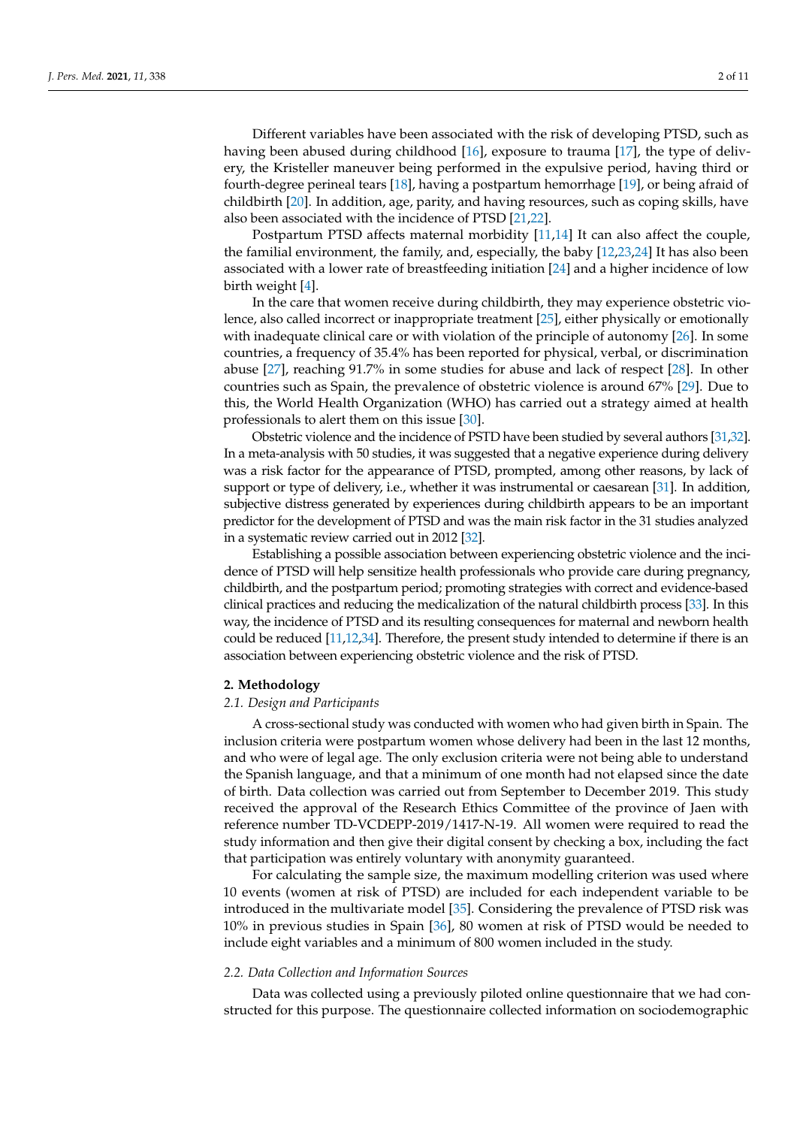Different variables have been associated with the risk of developing PTSD, such as having been abused during childhood [\[16\]](#page-9-7), exposure to trauma [\[17\]](#page-9-8), the type of delivery, the Kristeller maneuver being performed in the expulsive period, having third or fourth-degree perineal tears [\[18\]](#page-9-9), having a postpartum hemorrhage [\[19\]](#page-9-10), or being afraid of childbirth [\[20\]](#page-9-11). In addition, age, parity, and having resources, such as coping skills, have also been associated with the incidence of PTSD [\[21](#page-9-12)[,22\]](#page-9-13).

Postpartum PTSD affects maternal morbidity [\[11,](#page-9-14)[14\]](#page-9-5) It can also affect the couple, the familial environment, the family, and, especially, the baby [\[12,](#page-9-15)[23,](#page-9-16)[24\]](#page-9-17) It has also been associated with a lower rate of breastfeeding initiation [\[24\]](#page-9-17) and a higher incidence of low birth weight [\[4\]](#page-9-18).

In the care that women receive during childbirth, they may experience obstetric violence, also called incorrect or inappropriate treatment [\[25\]](#page-9-19), either physically or emotionally with inadequate clinical care or with violation of the principle of autonomy [\[26\]](#page-10-0). In some countries, a frequency of 35.4% has been reported for physical, verbal, or discrimination abuse [\[27\]](#page-10-1), reaching 91.7% in some studies for abuse and lack of respect [\[28\]](#page-10-2). In other countries such as Spain, the prevalence of obstetric violence is around 67% [\[29\]](#page-10-3). Due to this, the World Health Organization (WHO) has carried out a strategy aimed at health professionals to alert them on this issue [\[30\]](#page-10-4).

Obstetric violence and the incidence of PSTD have been studied by several authors [\[31,](#page-10-5)[32\]](#page-10-6). In a meta-analysis with 50 studies, it was suggested that a negative experience during delivery was a risk factor for the appearance of PTSD, prompted, among other reasons, by lack of support or type of delivery, i.e., whether it was instrumental or caesarean [\[31\]](#page-10-5). In addition, subjective distress generated by experiences during childbirth appears to be an important predictor for the development of PTSD and was the main risk factor in the 31 studies analyzed in a systematic review carried out in 2012 [\[32\]](#page-10-6).

Establishing a possible association between experiencing obstetric violence and the incidence of PTSD will help sensitize health professionals who provide care during pregnancy, childbirth, and the postpartum period; promoting strategies with correct and evidence-based clinical practices and reducing the medicalization of the natural childbirth process [\[33\]](#page-10-7). In this way, the incidence of PTSD and its resulting consequences for maternal and newborn health could be reduced [\[11](#page-9-14)[,12](#page-9-15)[,34\]](#page-10-8). Therefore, the present study intended to determine if there is an association between experiencing obstetric violence and the risk of PTSD.

## **2. Methodology**

#### *2.1. Design and Participants*

A cross-sectional study was conducted with women who had given birth in Spain. The inclusion criteria were postpartum women whose delivery had been in the last 12 months, and who were of legal age. The only exclusion criteria were not being able to understand the Spanish language, and that a minimum of one month had not elapsed since the date of birth. Data collection was carried out from September to December 2019. This study received the approval of the Research Ethics Committee of the province of Jaen with reference number TD-VCDEPP-2019/1417-N-19. All women were required to read the study information and then give their digital consent by checking a box, including the fact that participation was entirely voluntary with anonymity guaranteed.

For calculating the sample size, the maximum modelling criterion was used where 10 events (women at risk of PTSD) are included for each independent variable to be introduced in the multivariate model [\[35\]](#page-10-9). Considering the prevalence of PTSD risk was 10% in previous studies in Spain [\[36\]](#page-10-10), 80 women at risk of PTSD would be needed to include eight variables and a minimum of 800 women included in the study.

## *2.2. Data Collection and Information Sources*

Data was collected using a previously piloted online questionnaire that we had constructed for this purpose. The questionnaire collected information on sociodemographic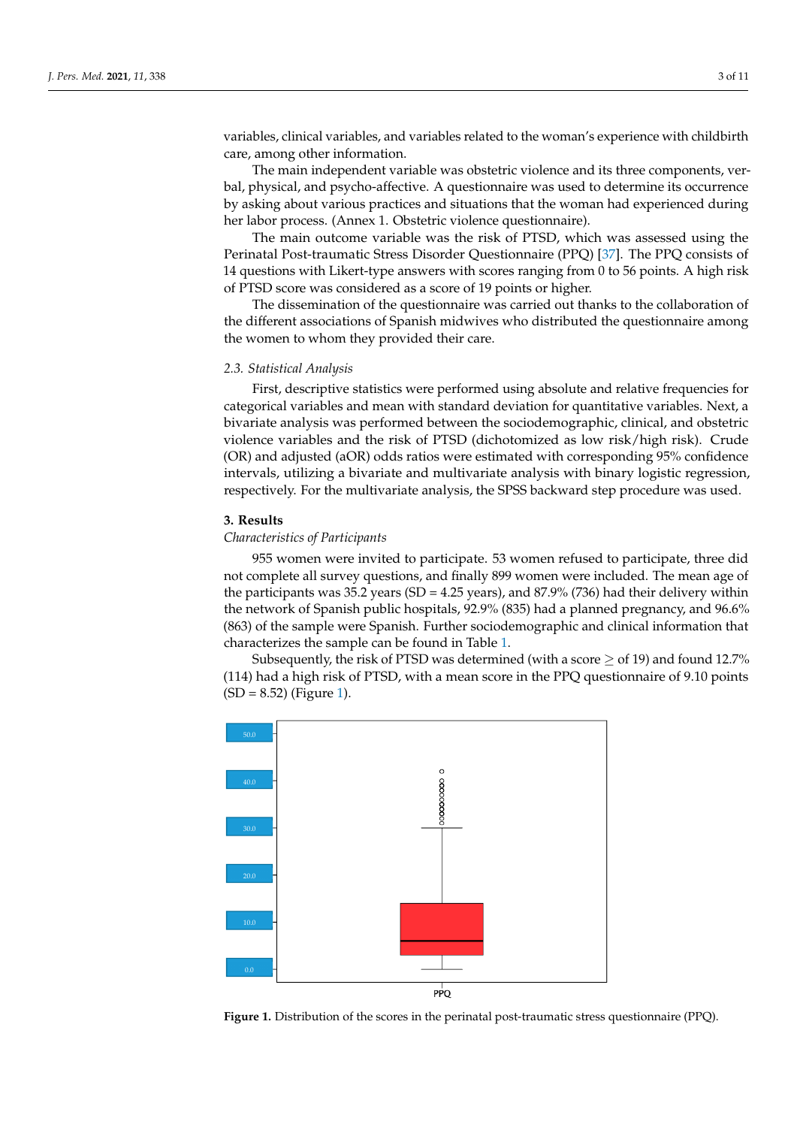variables, clinical variables, and variables related to the woman's experience with childbirth care, among other information.

The main independent variable was obstetric violence and its three components, verbal, physical, and psycho-affective. A questionnaire was used to determine its occurrence by asking about various practices and situations that the woman had experienced during her labor process. (Annex 1. Obstetric violence questionnaire).

The main outcome variable was the risk of PTSD, which was assessed using the Perinatal Post-traumatic Stress Disorder Questionnaire (PPQ) [\[37\]](#page-10-11). The PPQ consists of 14 questions with Likert-type answers with scores ranging from 0 to 56 points. A high risk of PTSD score was considered as a score of 19 points or higher.

The dissemination of the questionnaire was carried out thanks to the collaboration of the different associations of Spanish midwives who distributed the questionnaire among the women to whom they provided their care.

#### *2.3. Statistical Analysis*

First, descriptive statistics were performed using absolute and relative frequencies for categorical variables and mean with standard deviation for quantitative variables. Next, a bivariate analysis was performed between the sociodemographic, clinical, and obstetric violence variables and the risk of PTSD (dichotomized as low risk/high risk). Crude (OR) and adjusted (aOR) odds ratios were estimated with corresponding 95% confidence intervals, utilizing a bivariate and multivariate analysis with binary logistic regression, respectively. For the multivariate analysis, the SPSS backward step procedure was used.

## **3. Results**

#### *Characteristics of Participants*

955 women were invited to participate. 53 women refused to participate, three did not complete all survey questions, and finally 899 women were included. The mean age of the participants was 35.2 years (SD = 4.25 years), and 87.9% (736) had their delivery within the network of Spanish public hospitals, 92.9% (835) had a planned pregnancy, and 96.6% (863) of the sample were Spanish. Further sociodemographic and clinical information that characterizes the sample can be found in Table [1.](#page-3-0)

Subsequently, the risk of PTSD was determined (with a score  $\geq$  of 19) and found 12.7% (114) had a high risk of PTSD, with a mean score in the PPQ questionnaire of 9.10 points  $(SD = 8.52)$  (Figure [1\)](#page-2-0).

<span id="page-2-0"></span>

**Figure 1.** Distribution of the scores in the perinatal post-traumatic stress questionnaire (PPQ). **Figure 1.** Distribution of the scores in the perinatal post-traumatic stress questionnaire (PPQ).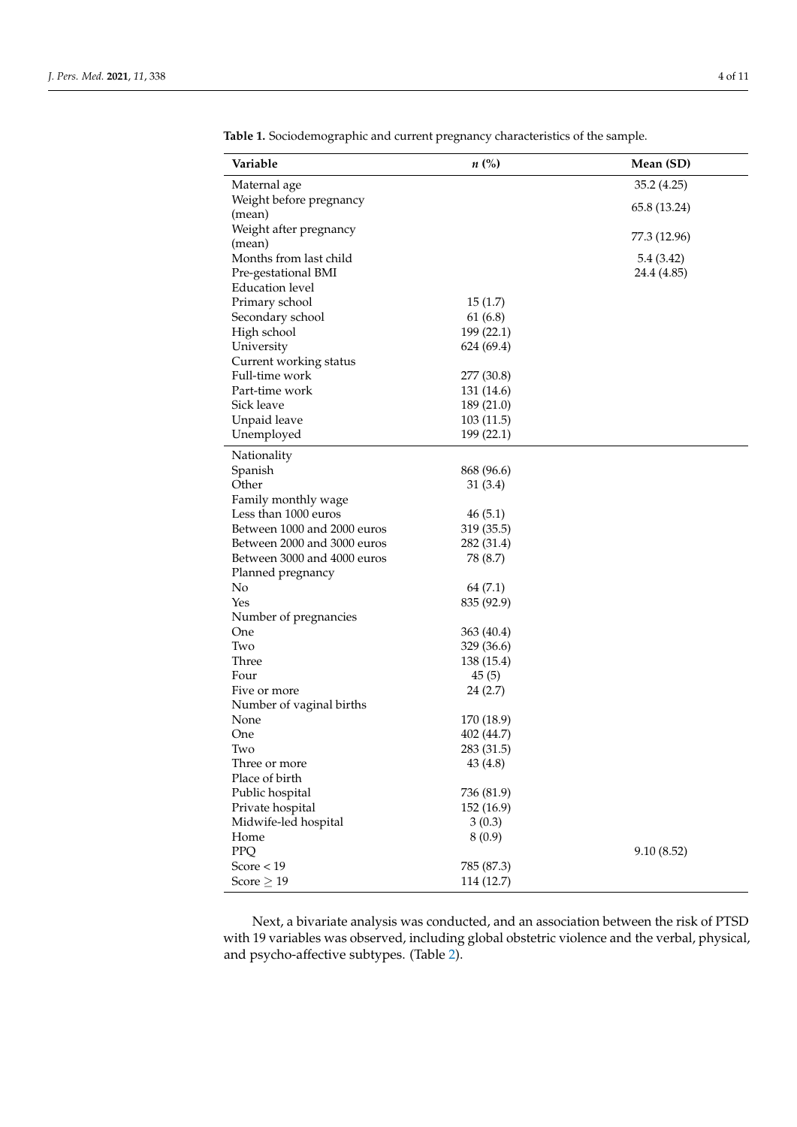| Variable                     | $n\ (\%)$               | Mean (SD)    |
|------------------------------|-------------------------|--------------|
| Maternal age                 |                         | 35.2 (4.25)  |
| Weight before pregnancy      |                         |              |
| (mean)                       |                         | 65.8 (13.24) |
| Weight after pregnancy       |                         | 77.3 (12.96) |
| (mean)                       |                         |              |
| Months from last child       |                         | 5.4 (3.42)   |
| Pre-gestational BMI          |                         | 24.4 (4.85)  |
| <b>Education</b> level       |                         |              |
| Primary school               | 15(1.7)                 |              |
| Secondary school             | 61(6.8)                 |              |
| High school                  | 199 (22.1)              |              |
| University                   | 624 (69.4)              |              |
| Current working status       |                         |              |
| Full-time work               | 277 (30.8)              |              |
| Part-time work<br>Sick leave | 131 (14.6)              |              |
| Unpaid leave                 | 189 (21.0)<br>103(11.5) |              |
| Unemployed                   | 199 (22.1)              |              |
|                              |                         |              |
| Nationality                  |                         |              |
| Spanish                      | 868 (96.6)              |              |
| Other                        | 31(3.4)                 |              |
| Family monthly wage          |                         |              |
| Less than 1000 euros         | 46(5.1)                 |              |
| Between 1000 and 2000 euros  | 319 (35.5)              |              |
| Between 2000 and 3000 euros  | 282 (31.4)              |              |
| Between 3000 and 4000 euros  | 78 (8.7)                |              |
| Planned pregnancy<br>No      | 64 (7.1)                |              |
| Yes                          | 835 (92.9)              |              |
| Number of pregnancies        |                         |              |
| One                          | 363 (40.4)              |              |
| Two                          | 329 (36.6)              |              |
| Three                        | 138 (15.4)              |              |
| Four                         | 45(5)                   |              |
| Five or more                 | 24(2.7)                 |              |
| Number of vaginal births     |                         |              |
| None                         | 170 (18.9)              |              |
| One                          | 402 (44.7)              |              |
| Two                          | 283 (31.5)              |              |
| Three or more                | 43 (4.8)                |              |
| Place of birth               |                         |              |
| Public hospital              | 736 (81.9)              |              |
| Private hospital             | 152 (16.9)              |              |
| Midwife-led hospital         | 3(0.3)                  |              |
| Home                         | 8(0.9)                  |              |
| PPQ                          |                         | 9.10(8.52)   |
| Score $<$ 19                 | 785 (87.3)              |              |
| Score $\geq$ 19              | 114 (12.7)              |              |

<span id="page-3-0"></span>**Table 1.** Sociodemographic and current pregnancy characteristics of the sample.

Next, a bivariate analysis was conducted, and an association between the risk of PTSD with 19 variables was observed, including global obstetric violence and the verbal, physical, and psycho-affective subtypes. (Table [2\)](#page-6-0).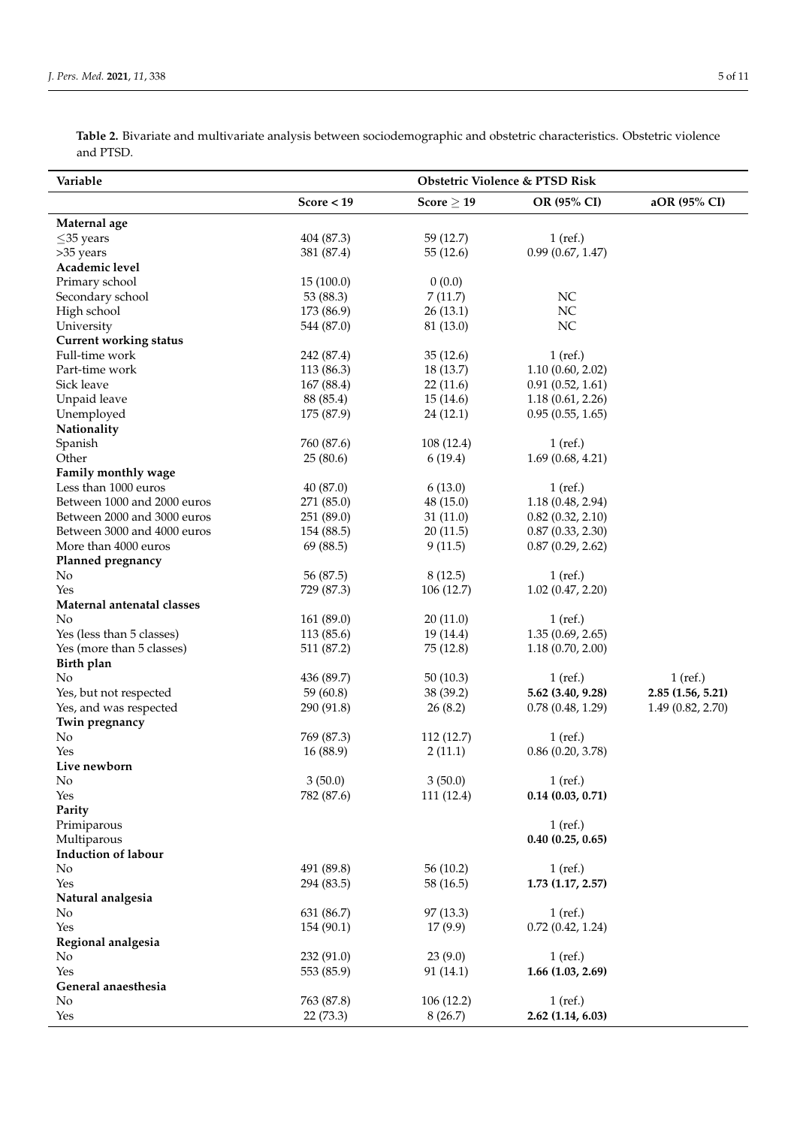**Table 2.** Bivariate and multivariate analysis between sociodemographic and obstetric characteristics. Obstetric violence and PTSD.

| Variable                      |              | Obstetric Violence & PTSD Risk |                       |                   |  |
|-------------------------------|--------------|--------------------------------|-----------------------|-------------------|--|
|                               | Score $<$ 19 | Score $\geq 19$                | OR (95% CI)           | aOR (95% CI)      |  |
| Maternal age                  |              |                                |                       |                   |  |
| $\leq$ 35 years               | 404 (87.3)   | 59 (12.7)                      | $1$ (ref.)            |                   |  |
| >35 years                     | 381 (87.4)   | 55(12.6)                       | 0.99(0.67, 1.47)      |                   |  |
| Academic level                |              |                                |                       |                   |  |
| Primary school                | 15(100.0)    | 0(0.0)                         |                       |                   |  |
| Secondary school              | 53 (88.3)    | 7(11.7)                        | NC                    |                   |  |
| High school                   | 173 (86.9)   | 26(13.1)                       | NC                    |                   |  |
| University                    | 544 (87.0)   | 81 (13.0)                      | NC                    |                   |  |
| <b>Current working status</b> |              |                                |                       |                   |  |
| Full-time work                | 242 (87.4)   | 35(12.6)                       | $1$ (ref.)            |                   |  |
| Part-time work                | 113 (86.3)   | 18 (13.7)                      | 1.10(0.60, 2.02)      |                   |  |
| Sick leave                    | 167 (88.4)   | 22(11.6)                       | 0.91(0.52, 1.61)      |                   |  |
| Unpaid leave                  | 88 (85.4)    | 15(14.6)                       | 1.18(0.61, 2.26)      |                   |  |
| Unemployed                    | 175 (87.9)   | 24 (12.1)                      | 0.95(0.55, 1.65)      |                   |  |
| Nationality                   |              |                                |                       |                   |  |
| Spanish                       | 760 (87.6)   | 108(12.4)                      | $1$ (ref.)            |                   |  |
| Other                         | 25(80.6)     | 6(19.4)                        | 1.69(0.68, 4.21)      |                   |  |
| Family monthly wage           |              |                                |                       |                   |  |
| Less than 1000 euros          | 40(87.0)     | 6(13.0)                        | $1$ (ref.)            |                   |  |
| Between 1000 and 2000 euros   | 271 (85.0)   | 48 (15.0)                      | 1.18(0.48, 2.94)      |                   |  |
| Between 2000 and 3000 euros   | 251 (89.0)   | 31(11.0)                       | $0.82$ $(0.32, 2.10)$ |                   |  |
| Between 3000 and 4000 euros   | 154 (88.5)   | 20(11.5)                       | 0.87(0.33, 2.30)      |                   |  |
| More than 4000 euros          | 69 (88.5)    | 9(11.5)                        | 0.87(0.29, 2.62)      |                   |  |
| Planned pregnancy             |              |                                |                       |                   |  |
| No                            | 56 (87.5)    | 8(12.5)                        | $1$ (ref.)            |                   |  |
| Yes                           | 729 (87.3)   | 106 (12.7)                     | 1.02(0.47, 2.20)      |                   |  |
| Maternal antenatal classes    |              |                                |                       |                   |  |
| No                            | 161 (89.0)   | 20(11.0)                       | $1$ (ref.)            |                   |  |
| Yes (less than 5 classes)     | 113 (85.6)   | 19 (14.4)                      | 1.35(0.69, 2.65)      |                   |  |
| Yes (more than 5 classes)     | 511 (87.2)   | 75 (12.8)                      | 1.18(0.70, 2.00)      |                   |  |
| Birth plan                    |              |                                |                       |                   |  |
| No                            | 436 (89.7)   | 50(10.3)                       | $1$ (ref.)            | $1$ (ref.)        |  |
| Yes, but not respected        | 59 (60.8)    | 38 (39.2)                      | 5.62 (3.40, 9.28)     | 2.85(1.56, 5.21)  |  |
| Yes, and was respected        | 290 (91.8)   | 26(8.2)                        | 0.78(0.48, 1.29)      | 1.49 (0.82, 2.70) |  |
| Twin pregnancy                |              |                                |                       |                   |  |
| No                            | 769 (87.3)   | 112 (12.7)                     | $1$ (ref.)            |                   |  |
| Yes                           | 16 (88.9)    | 2(11.1)                        | 0.86(0.20, 3.78)      |                   |  |
| Live newborn                  |              |                                |                       |                   |  |
| No                            | 3(50.0)      | 3(50.0)                        | $1$ (ref.)            |                   |  |
| Yes                           | 782 (87.6)   | 111(12.4)                      | $0.14$ $(0.03, 0.71)$ |                   |  |
| Parity                        |              |                                |                       |                   |  |
| Primiparous                   |              |                                | $1$ (ref.)            |                   |  |
| Multiparous                   |              |                                | 0.40(0.25, 0.65)      |                   |  |
| Induction of labour           |              |                                |                       |                   |  |
| No                            | 491 (89.8)   | 56(10.2)                       | $1$ (ref.)            |                   |  |
| Yes                           | 294 (83.5)   | 58 (16.5)                      | $1.73$ $(1.17, 2.57)$ |                   |  |
| Natural analgesia             |              |                                |                       |                   |  |
| No                            | 631 (86.7)   | 97 (13.3)                      | $1$ (ref.)            |                   |  |
| Yes                           | 154 (90.1)   | 17 (9.9)                       | 0.72(0.42, 1.24)      |                   |  |
| Regional analgesia            |              |                                |                       |                   |  |
| No                            | 232(91.0)    | 23(9.0)                        | $1$ (ref.)            |                   |  |
| Yes                           | 553 (85.9)   | 91 (14.1)                      | 1.66 (1.03, 2.69)     |                   |  |
| General anaesthesia           |              |                                |                       |                   |  |
| No                            | 763 (87.8)   | 106(12.2)                      | $1$ (ref.)            |                   |  |
| Yes                           | 22 (73.3)    | 8(26.7)                        | 2.62 (1.14, 6.03)     |                   |  |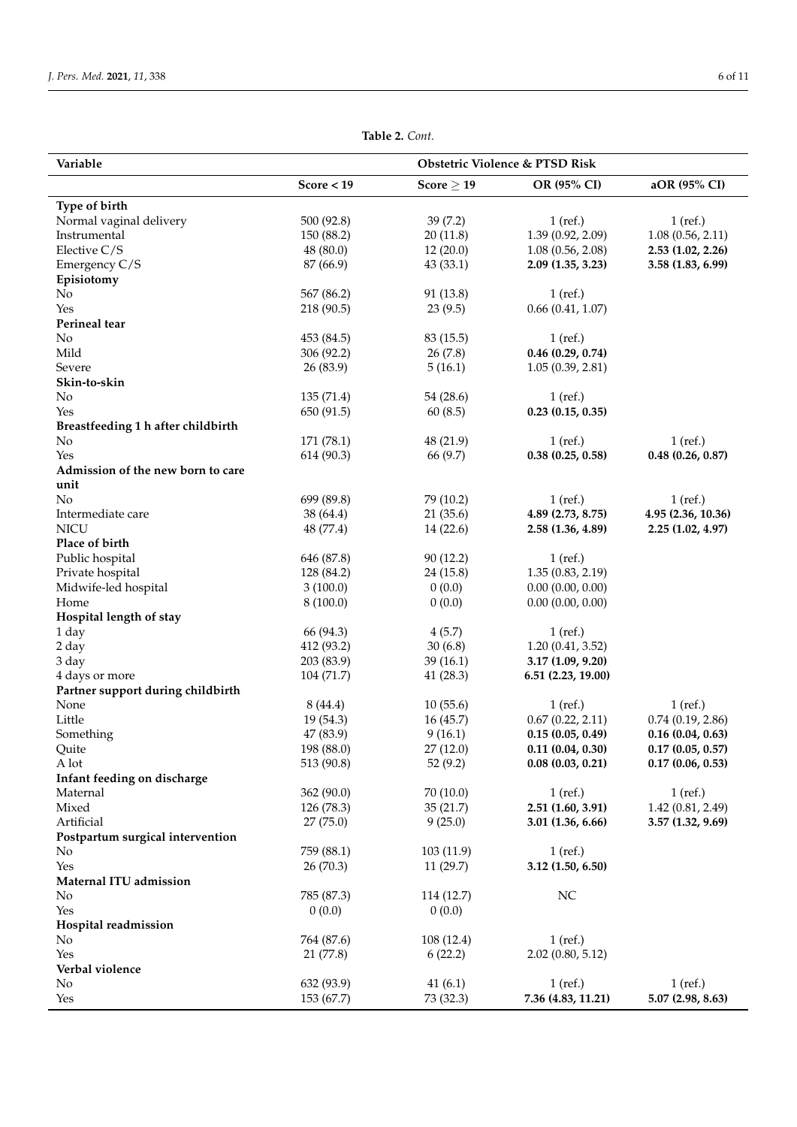| Variable                           | Obstetric Violence & PTSD Risk |                 |                       |                    |
|------------------------------------|--------------------------------|-----------------|-----------------------|--------------------|
|                                    | Score $<$ 19                   | Score $\geq$ 19 | OR (95% CI)           | aOR (95% CI)       |
| Type of birth                      |                                |                 |                       |                    |
| Normal vaginal delivery            | 500 (92.8)                     | 39(7.2)         | $1$ (ref.)            | $1$ (ref.)         |
| Instrumental                       | 150 (88.2)                     | 20(11.8)        | 1.39 (0.92, 2.09)     | 1.08(0.56, 2.11)   |
| Elective $C/S$                     | 48(80.0)                       | 12(20.0)        | 1.08(0.56, 2.08)      | 2.53 (1.02, 2.26)  |
| Emergency C/S                      | 87 (66.9)                      | 43(33.1)        | 2.09(1.35, 3.23)      | 3.58 (1.83, 6.99)  |
| Episiotomy                         |                                |                 |                       |                    |
| No                                 | 567 (86.2)                     | 91 (13.8)       | $1$ (ref.)            |                    |
| Yes                                | 218 (90.5)                     | 23(9.5)         | 0.66(0.41, 1.07)      |                    |
| Perineal tear                      |                                |                 |                       |                    |
| No                                 | 453 (84.5)                     | 83 (15.5)       | $1$ (ref.)            |                    |
| Mild                               | 306 (92.2)                     | 26(7.8)         | $0.46$ $(0.29, 0.74)$ |                    |
| Severe                             | 26(83.9)                       | 5(16.1)         | 1.05(0.39, 2.81)      |                    |
| Skin-to-skin                       |                                |                 |                       |                    |
| No                                 | 135 (71.4)                     | 54 (28.6)       | $1$ (ref.)            |                    |
| Yes                                | 650 (91.5)                     | 60(8.5)         | 0.23(0.15, 0.35)      |                    |
| Breastfeeding 1 h after childbirth |                                |                 |                       |                    |
| No                                 | 171 (78.1)                     | 48 (21.9)       | $1$ (ref.)            | $1$ (ref.)         |
| Yes                                | 614 (90.3)                     | 66 (9.7)        | 0.38(0.25, 0.58)      | 0.48(0.26, 0.87)   |
| Admission of the new born to care  |                                |                 |                       |                    |
| unit<br>N <sub>o</sub>             | 699 (89.8)                     | 79 (10.2)       | $1$ (ref.)            | $1$ (ref.)         |
| Intermediate care                  |                                | 21(35.6)        | 4.89 (2.73, 8.75)     | 4.95 (2.36, 10.36) |
| <b>NICU</b>                        | 38 (64.4)<br>48 (77.4)         | 14 (22.6)       | 2.58 (1.36, 4.89)     | 2.25(1.02, 4.97)   |
| Place of birth                     |                                |                 |                       |                    |
| Public hospital                    | 646 (87.8)                     | 90(12.2)        | $1$ (ref.)            |                    |
| Private hospital                   | 128 (84.2)                     | 24 (15.8)       | 1.35(0.83, 2.19)      |                    |
| Midwife-led hospital               | 3(100.0)                       | 0(0.0)          | 0.00(0.00, 0.00)      |                    |
| Home                               | 8(100.0)                       | 0(0.0)          | 0.00(0.00, 0.00)      |                    |
| Hospital length of stay            |                                |                 |                       |                    |
| 1 day                              | 66 (94.3)                      | 4(5.7)          | $1$ (ref.)            |                    |
| 2 day                              | 412 (93.2)                     | 30(6.8)         | 1.20(0.41, 3.52)      |                    |
| 3 day                              | 203 (83.9)                     | 39(16.1)        | 3.17(1.09, 9.20)      |                    |
| 4 days or more                     | 104 (71.7)                     | 41(28.3)        | 6.51 (2.23, 19.00)    |                    |
| Partner support during childbirth  |                                |                 |                       |                    |
| None                               | 8 (44.4)                       | 10(55.6)        | $1$ (ref.)            | $1$ (ref.)         |
| Little                             | 19 (54.3)                      | 16(45.7)        | 0.67(0.22, 2.11)      | 0.74(0.19, 2.86)   |
| Something                          | 47 (83.9)                      | 9(16.1)         | 0.15(0.05, 0.49)      | 0.16(0.04, 0.63)   |
| Quite                              | 198 (88.0)                     | 27(12.0)        | 0.11(0.04, 0.30)      | 0.17(0.05, 0.57)   |
| A lot                              | 513 (90.8)                     | 52(9.2)         | 0.08(0.03, 0.21)      | 0.17(0.06, 0.53)   |
| Infant feeding on discharge        |                                |                 |                       |                    |
| Maternal                           | 362 (90.0)                     | 70 (10.0)       | $1$ (ref.)            | $1$ (ref.)         |
| Mixed                              | 126 (78.3)                     | 35(21.7)        | 2.51(1.60, 3.91)      | 1.42(0.81, 2.49)   |
| Artificial                         | 27(75.0)                       | 9(25.0)         | 3.01 (1.36, 6.66)     | 3.57 (1.32, 9.69)  |
| Postpartum surgical intervention   |                                |                 |                       |                    |
| No                                 | 759 (88.1)                     | 103 (11.9)      | $1$ (ref.)            |                    |
| Yes                                | 26(70.3)                       | 11(29.7)        | 3.12 (1.50, 6.50)     |                    |
| Maternal ITU admission             |                                |                 |                       |                    |
| No                                 | 785 (87.3)                     | 114 (12.7)      | NC                    |                    |
| Yes                                | 0(0.0)                         | 0(0.0)          |                       |                    |
| Hospital readmission<br>No         | 764 (87.6)                     | 108 (12.4)      | $1$ (ref.)            |                    |
| Yes                                | 21 (77.8)                      | 6(22.2)         | $2.02$ (0.80, 5.12)   |                    |
| Verbal violence                    |                                |                 |                       |                    |
| No                                 | 632 (93.9)                     | 41(6.1)         | $1$ (ref.)            | $1$ (ref.)         |
| Yes                                | 153 (67.7)                     | 73 (32.3)       | 7.36 (4.83, 11.21)    | 5.07 (2.98, 8.63)  |
|                                    |                                |                 |                       |                    |

**Table 2.** *Cont.*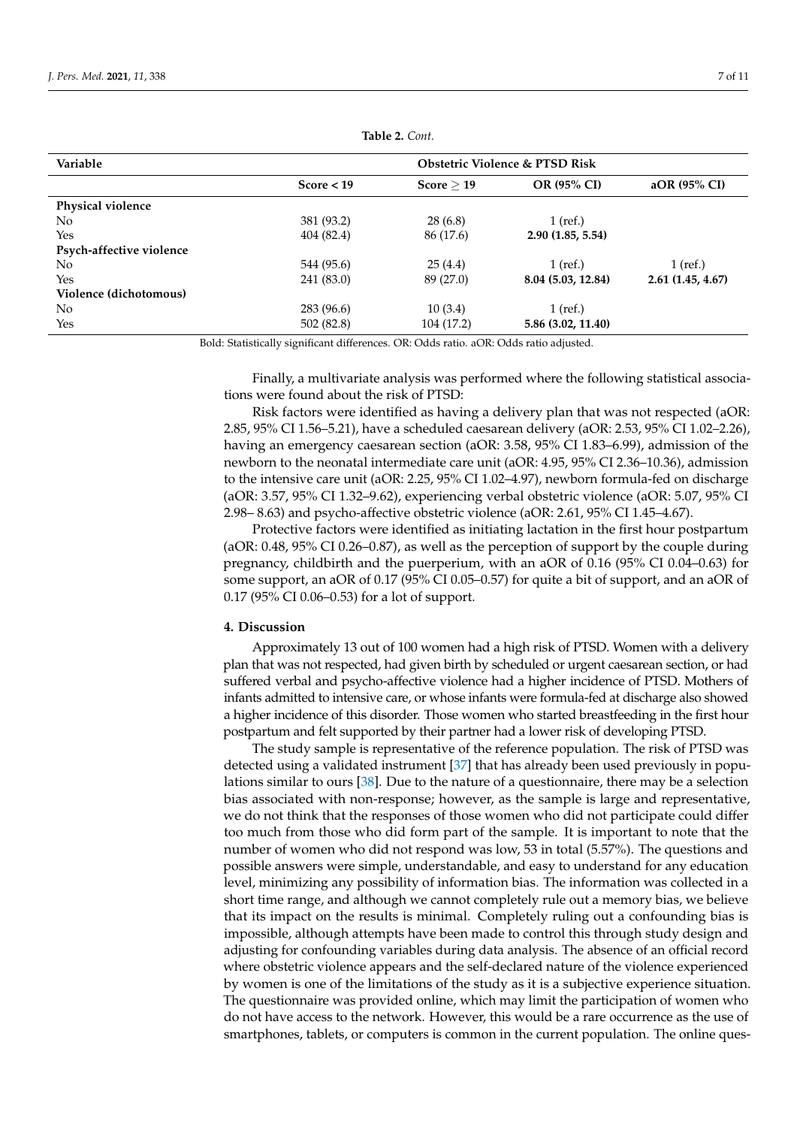<span id="page-6-0"></span>

| Variable                 | Obstetric Violence & PTSD Risk |            |                    |                  |
|--------------------------|--------------------------------|------------|--------------------|------------------|
|                          | Score $<$ 19                   | Score > 19 | OR (95% CI)        | $aOR$ (95% CI)   |
| Physical violence        |                                |            |                    |                  |
| N <sub>0</sub>           | 381 (93.2)                     | 28(6.8)    | $1$ (ref.)         |                  |
| Yes                      | 404(82.4)                      | 86 (17.6)  | 2.90(1.85, 5.54)   |                  |
| Psych-affective violence |                                |            |                    |                  |
| No.                      | 544 (95.6)                     | 25(4.4)    | $1$ (ref.)         | $1$ (ref.)       |
| Yes                      | 241 (83.0)                     | 89 (27.0)  | 8.04 (5.03, 12.84) | 2.61(1.45, 4.67) |
| Violence (dichotomous)   |                                |            |                    |                  |
| No.                      | 283 (96.6)                     | 10(3.4)    | $1$ (ref.)         |                  |
| Yes                      | 502(82.8)                      | 104 (17.2) | 5.86 (3.02, 11.40) |                  |

**Table 2.** *Cont.*

Bold: Statistically significant differences. OR: Odds ratio. aOR: Odds ratio adjusted.

Finally, a multivariate analysis was performed where the following statistical associations were found about the risk of PTSD:

Risk factors were identified as having a delivery plan that was not respected (aOR: 2.85, 95% CI 1.56–5.21), have a scheduled caesarean delivery (aOR: 2.53, 95% CI 1.02–2.26), having an emergency caesarean section (aOR: 3.58, 95% CI 1.83–6.99), admission of the newborn to the neonatal intermediate care unit (aOR: 4.95, 95% CI 2.36–10.36), admission to the intensive care unit (aOR: 2.25, 95% CI 1.02–4.97), newborn formula-fed on discharge (aOR: 3.57, 95% CI 1.32–9.62), experiencing verbal obstetric violence (aOR: 5.07, 95% CI 2.98– 8.63) and psycho-affective obstetric violence (aOR: 2.61, 95% CI 1.45–4.67).

Protective factors were identified as initiating lactation in the first hour postpartum (aOR: 0.48, 95% CI 0.26–0.87), as well as the perception of support by the couple during pregnancy, childbirth and the puerperium, with an aOR of 0.16 (95% CI 0.04–0.63) for some support, an aOR of 0.17 (95% CI 0.05–0.57) for quite a bit of support, and an aOR of 0.17 (95% CI 0.06–0.53) for a lot of support.

## **4. Discussion**

Approximately 13 out of 100 women had a high risk of PTSD. Women with a delivery plan that was not respected, had given birth by scheduled or urgent caesarean section, or had suffered verbal and psycho-affective violence had a higher incidence of PTSD. Mothers of infants admitted to intensive care, or whose infants were formula-fed at discharge also showed a higher incidence of this disorder. Those women who started breastfeeding in the first hour postpartum and felt supported by their partner had a lower risk of developing PTSD.

The study sample is representative of the reference population. The risk of PTSD was detected using a validated instrument [\[37\]](#page-10-11) that has already been used previously in populations similar to ours [\[38\]](#page-10-12). Due to the nature of a questionnaire, there may be a selection bias associated with non-response; however, as the sample is large and representative, we do not think that the responses of those women who did not participate could differ too much from those who did form part of the sample. It is important to note that the number of women who did not respond was low, 53 in total (5.57%). The questions and possible answers were simple, understandable, and easy to understand for any education level, minimizing any possibility of information bias. The information was collected in a short time range, and although we cannot completely rule out a memory bias, we believe that its impact on the results is minimal. Completely ruling out a confounding bias is impossible, although attempts have been made to control this through study design and adjusting for confounding variables during data analysis. The absence of an official record where obstetric violence appears and the self-declared nature of the violence experienced by women is one of the limitations of the study as it is a subjective experience situation. The questionnaire was provided online, which may limit the participation of women who do not have access to the network. However, this would be a rare occurrence as the use of smartphones, tablets, or computers is common in the current population. The online ques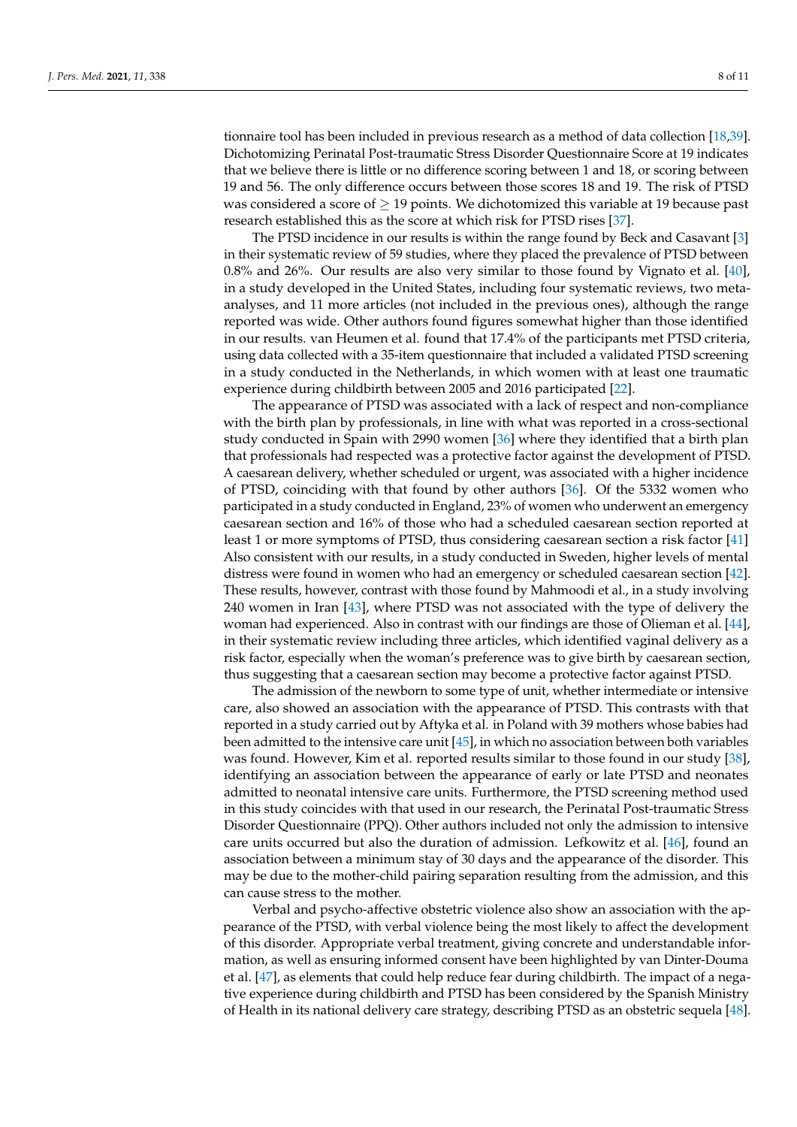tionnaire tool has been included in previous research as a method of data collection [\[18](#page-9-9)[,39\]](#page-10-13). Dichotomizing Perinatal Post-traumatic Stress Disorder Questionnaire Score at 19 indicates that we believe there is little or no difference scoring between 1 and 18, or scoring between 19 and 56. The only difference occurs between those scores 18 and 19. The risk of PTSD was considered a score of  $\geq$  19 points. We dichotomized this variable at 19 because past research established this as the score at which risk for PTSD rises [\[37\]](#page-10-11).

The PTSD incidence in our results is within the range found by Beck and Casavant [\[3\]](#page-9-2) in their systematic review of 59 studies, where they placed the prevalence of PTSD between 0.8% and 26%. Our results are also very similar to those found by Vignato et al. [\[40\]](#page-10-14), in a study developed in the United States, including four systematic reviews, two metaanalyses, and 11 more articles (not included in the previous ones), although the range reported was wide. Other authors found figures somewhat higher than those identified in our results. van Heumen et al. found that 17.4% of the participants met PTSD criteria, using data collected with a 35-item questionnaire that included a validated PTSD screening in a study conducted in the Netherlands, in which women with at least one traumatic experience during childbirth between 2005 and 2016 participated [\[22\]](#page-9-13).

The appearance of PTSD was associated with a lack of respect and non-compliance with the birth plan by professionals, in line with what was reported in a cross-sectional study conducted in Spain with 2990 women [\[36\]](#page-10-10) where they identified that a birth plan that professionals had respected was a protective factor against the development of PTSD. A caesarean delivery, whether scheduled or urgent, was associated with a higher incidence of PTSD, coinciding with that found by other authors [\[36\]](#page-10-10). Of the 5332 women who participated in a study conducted in England, 23% of women who underwent an emergency caesarean section and 16% of those who had a scheduled caesarean section reported at least 1 or more symptoms of PTSD, thus considering caesarean section a risk factor [\[41\]](#page-10-15) Also consistent with our results, in a study conducted in Sweden, higher levels of mental distress were found in women who had an emergency or scheduled caesarean section [\[42\]](#page-10-16). These results, however, contrast with those found by Mahmoodi et al., in a study involving 240 women in Iran [\[43\]](#page-10-17), where PTSD was not associated with the type of delivery the woman had experienced. Also in contrast with our findings are those of Olieman et al. [\[44\]](#page-10-18), in their systematic review including three articles, which identified vaginal delivery as a risk factor, especially when the woman's preference was to give birth by caesarean section, thus suggesting that a caesarean section may become a protective factor against PTSD.

The admission of the newborn to some type of unit, whether intermediate or intensive care, also showed an association with the appearance of PTSD. This contrasts with that reported in a study carried out by Aftyka et al. in Poland with 39 mothers whose babies had been admitted to the intensive care unit [\[45\]](#page-10-19), in which no association between both variables was found. However, Kim et al. reported results similar to those found in our study [\[38\]](#page-10-12), identifying an association between the appearance of early or late PTSD and neonates admitted to neonatal intensive care units. Furthermore, the PTSD screening method used in this study coincides with that used in our research, the Perinatal Post-traumatic Stress Disorder Questionnaire (PPQ). Other authors included not only the admission to intensive care units occurred but also the duration of admission. Lefkowitz et al. [\[46\]](#page-10-20), found an association between a minimum stay of 30 days and the appearance of the disorder. This may be due to the mother-child pairing separation resulting from the admission, and this can cause stress to the mother.

Verbal and psycho-affective obstetric violence also show an association with the appearance of the PTSD, with verbal violence being the most likely to affect the development of this disorder. Appropriate verbal treatment, giving concrete and understandable information, as well as ensuring informed consent have been highlighted by van Dinter-Douma et al. [\[47\]](#page-10-21), as elements that could help reduce fear during childbirth. The impact of a negative experience during childbirth and PTSD has been considered by the Spanish Ministry of Health in its national delivery care strategy, describing PTSD as an obstetric sequela [\[48\]](#page-10-22).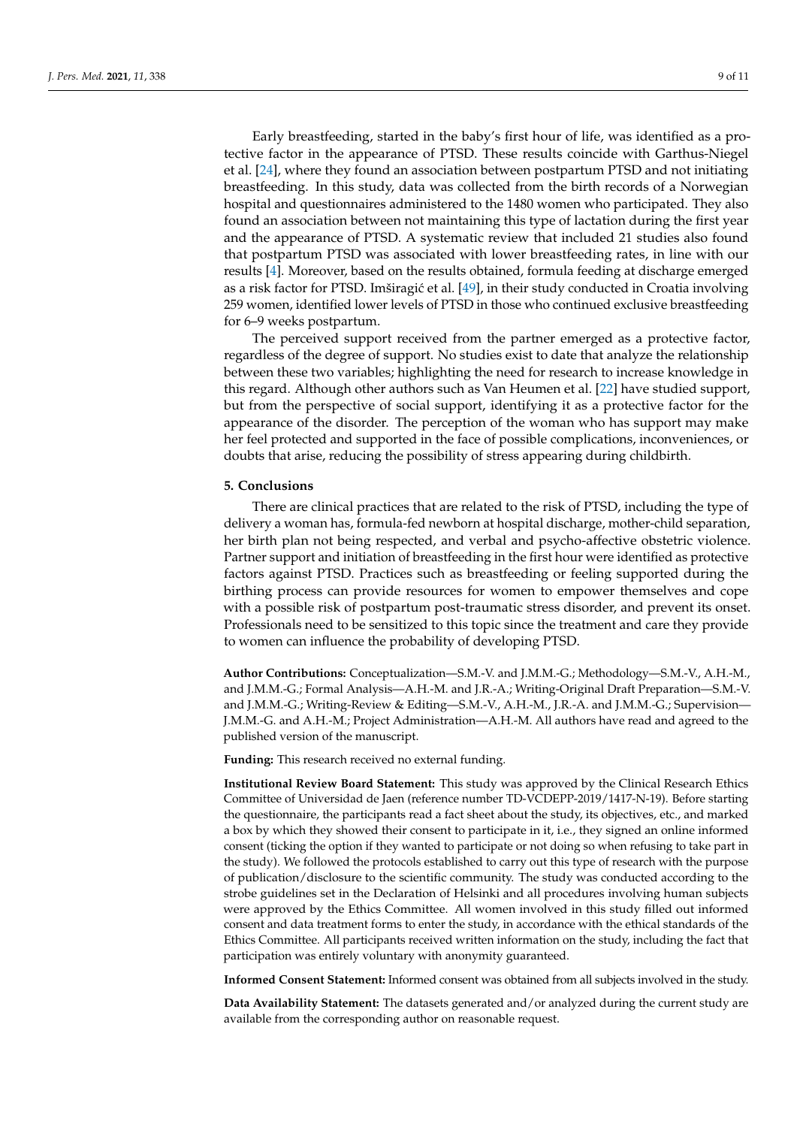Early breastfeeding, started in the baby's first hour of life, was identified as a protective factor in the appearance of PTSD. These results coincide with Garthus-Niegel et al. [\[24\]](#page-9-17), where they found an association between postpartum PTSD and not initiating breastfeeding. In this study, data was collected from the birth records of a Norwegian hospital and questionnaires administered to the 1480 women who participated. They also found an association between not maintaining this type of lactation during the first year and the appearance of PTSD. A systematic review that included 21 studies also found that postpartum PTSD was associated with lower breastfeeding rates, in line with our results [\[4\]](#page-9-18). Moreover, based on the results obtained, formula feeding at discharge emerged as a risk factor for PTSD. Imširagić et al. [\[49\]](#page-10-23), in their study conducted in Croatia involving 259 women, identified lower levels of PTSD in those who continued exclusive breastfeeding for 6–9 weeks postpartum.

The perceived support received from the partner emerged as a protective factor, regardless of the degree of support. No studies exist to date that analyze the relationship between these two variables; highlighting the need for research to increase knowledge in this regard. Although other authors such as Van Heumen et al. [\[22\]](#page-9-13) have studied support, but from the perspective of social support, identifying it as a protective factor for the appearance of the disorder. The perception of the woman who has support may make her feel protected and supported in the face of possible complications, inconveniences, or doubts that arise, reducing the possibility of stress appearing during childbirth.

## **5. Conclusions**

There are clinical practices that are related to the risk of PTSD, including the type of delivery a woman has, formula-fed newborn at hospital discharge, mother-child separation, her birth plan not being respected, and verbal and psycho-affective obstetric violence. Partner support and initiation of breastfeeding in the first hour were identified as protective factors against PTSD. Practices such as breastfeeding or feeling supported during the birthing process can provide resources for women to empower themselves and cope with a possible risk of postpartum post-traumatic stress disorder, and prevent its onset. Professionals need to be sensitized to this topic since the treatment and care they provide to women can influence the probability of developing PTSD.

**Author Contributions:** Conceptualization—S.M.-V. and J.M.M.-G.; Methodology—S.M.-V., A.H.-M., and J.M.M.-G.; Formal Analysis—A.H.-M. and J.R.-A.; Writing-Original Draft Preparation—S.M.-V. and J.M.M.-G.; Writing-Review & Editing—S.M.-V., A.H.-M., J.R.-A. and J.M.M.-G.; Supervision— J.M.M.-G. and A.H.-M.; Project Administration—A.H.-M. All authors have read and agreed to the published version of the manuscript.

**Funding:** This research received no external funding.

**Institutional Review Board Statement:** This study was approved by the Clinical Research Ethics Committee of Universidad de Jaen (reference number TD-VCDEPP-2019/1417-N-19). Before starting the questionnaire, the participants read a fact sheet about the study, its objectives, etc., and marked a box by which they showed their consent to participate in it, i.e., they signed an online informed consent (ticking the option if they wanted to participate or not doing so when refusing to take part in the study). We followed the protocols established to carry out this type of research with the purpose of publication/disclosure to the scientific community. The study was conducted according to the strobe guidelines set in the Declaration of Helsinki and all procedures involving human subjects were approved by the Ethics Committee. All women involved in this study filled out informed consent and data treatment forms to enter the study, in accordance with the ethical standards of the Ethics Committee. All participants received written information on the study, including the fact that participation was entirely voluntary with anonymity guaranteed.

**Informed Consent Statement:** Informed consent was obtained from all subjects involved in the study.

**Data Availability Statement:** The datasets generated and/or analyzed during the current study are available from the corresponding author on reasonable request.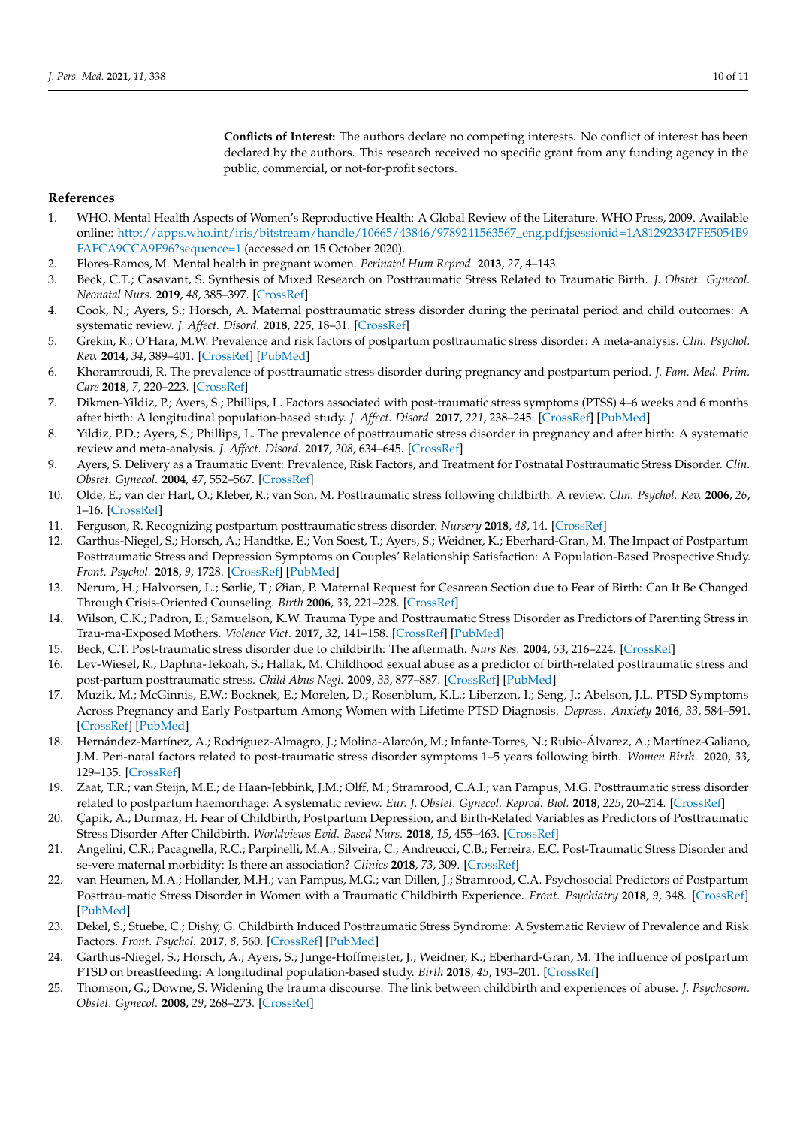**Conflicts of Interest:** The authors declare no competing interests. No conflict of interest has been declared by the authors. This research received no specific grant from any funding agency in the public, commercial, or not-for-profit sectors.

## **References**

- <span id="page-9-0"></span>1. WHO. Mental Health Aspects of Women's Reproductive Health: A Global Review of the Literature. WHO Press, 2009. Available online: [http://apps.who.int/iris/bitstream/handle/10665/43846/9789241563567\\_eng.pdf;jsessionid=1A812923347FE5054B9](http://apps.who.int/iris/bitstream/handle/10665/43846/9789241563567_eng.pdf;jsessionid=1A812923347FE5054B9FAFCA9CCA9E96?sequence=1) [FAFCA9CCA9E96?sequence=1](http://apps.who.int/iris/bitstream/handle/10665/43846/9789241563567_eng.pdf;jsessionid=1A812923347FE5054B9FAFCA9CCA9E96?sequence=1) (accessed on 15 October 2020).
- <span id="page-9-1"></span>2. Flores-Ramos, M. Mental health in pregnant women. *Perinatol Hum Reprod.* **2013**, *27*, 4–143.
- <span id="page-9-2"></span>3. Beck, C.T.; Casavant, S. Synthesis of Mixed Research on Posttraumatic Stress Related to Traumatic Birth. *J. Obstet. Gynecol. Neonatal Nurs.* **2019**, *48*, 385–397. [\[CrossRef\]](http://doi.org/10.1016/j.jogn.2019.02.004)
- <span id="page-9-18"></span>4. Cook, N.; Ayers, S.; Horsch, A. Maternal posttraumatic stress disorder during the perinatal period and child outcomes: A systematic review. *J. Affect. Disord.* **2018**, *225*, 18–31. [\[CrossRef\]](http://doi.org/10.1016/j.jad.2017.07.045)
- 5. Grekin, R.; O'Hara, M.W. Prevalence and risk factors of postpartum posttraumatic stress disorder: A meta-analysis. *Clin. Psychol. Rev.* **2014**, *34*, 389–401. [\[CrossRef\]](http://doi.org/10.1016/j.cpr.2014.05.003) [\[PubMed\]](http://www.ncbi.nlm.nih.gov/pubmed/24952134)
- 6. Khoramroudi, R. The prevalence of posttraumatic stress disorder during pregnancy and postpartum period. *J. Fam. Med. Prim. Care* **2018**, *7*, 220–223. [\[CrossRef\]](http://doi.org/10.4103/jfmpc.jfmpc_272_17)
- 7. Dikmen-Yildiz, P.; Ayers, S.; Phillips, L. Factors associated with post-traumatic stress symptoms (PTSS) 4–6 weeks and 6 months after birth: A longitudinal population-based study. *J. Affect. Disord.* **2017**, *221*, 238–245. [\[CrossRef\]](http://doi.org/10.1016/j.jad.2017.06.049) [\[PubMed\]](http://www.ncbi.nlm.nih.gov/pubmed/28654849)
- <span id="page-9-3"></span>8. Yildiz, P.D.; Ayers, S.; Phillips, L. The prevalence of posttraumatic stress disorder in pregnancy and after birth: A systematic review and meta-analysis. *J. Affect. Disord.* **2017**, *208*, 634–645. [\[CrossRef\]](http://doi.org/10.1016/j.jad.2016.10.009)
- <span id="page-9-4"></span>9. Ayers, S. Delivery as a Traumatic Event: Prevalence, Risk Factors, and Treatment for Postnatal Posttraumatic Stress Disorder. *Clin. Obstet. Gynecol.* **2004**, *47*, 552–567. [\[CrossRef\]](http://doi.org/10.1097/01.grf.0000129919.00756.9c)
- 10. Olde, E.; van der Hart, O.; Kleber, R.; van Son, M. Posttraumatic stress following childbirth: A review. *Clin. Psychol. Rev.* **2006**, *26*, 1–16. [\[CrossRef\]](http://doi.org/10.1016/j.cpr.2005.07.002)
- <span id="page-9-14"></span>11. Ferguson, R. Recognizing postpartum posttraumatic stress disorder. *Nursery* **2018**, *48*, 14. [\[CrossRef\]](http://doi.org/10.1097/01.NURSE.0000531015.55589.2f)
- <span id="page-9-15"></span>12. Garthus-Niegel, S.; Horsch, A.; Handtke, E.; Von Soest, T.; Ayers, S.; Weidner, K.; Eberhard-Gran, M. The Impact of Postpartum Posttraumatic Stress and Depression Symptoms on Couples' Relationship Satisfaction: A Population-Based Prospective Study. *Front. Psychol.* **2018**, *9*, 1728. [\[CrossRef\]](http://doi.org/10.3389/fpsyg.2018.01728) [\[PubMed\]](http://www.ncbi.nlm.nih.gov/pubmed/30283380)
- 13. Nerum, H.; Halvorsen, L.; Sørlie, T.; Øian, P. Maternal Request for Cesarean Section due to Fear of Birth: Can It Be Changed Through Crisis-Oriented Counseling. *Birth* **2006**, *33*, 221–228. [\[CrossRef\]](http://doi.org/10.1111/j.1523-536X.2006.00107.x)
- <span id="page-9-5"></span>14. Wilson, C.K.; Padron, E.; Samuelson, K.W. Trauma Type and Posttraumatic Stress Disorder as Predictors of Parenting Stress in Trau-ma-Exposed Mothers. *Violence Vict.* **2017**, *32*, 141–158. [\[CrossRef\]](http://doi.org/10.1891/0886-6708.VV-D-13-00077) [\[PubMed\]](http://www.ncbi.nlm.nih.gov/pubmed/28234203)
- <span id="page-9-6"></span>15. Beck, C.T. Post-traumatic stress disorder due to childbirth: The aftermath. *Nurs Res.* **2004**, *53*, 216–224. [\[CrossRef\]](http://doi.org/10.1097/00006199-200407000-00004)
- <span id="page-9-7"></span>16. Lev-Wiesel, R.; Daphna-Tekoah, S.; Hallak, M. Childhood sexual abuse as a predictor of birth-related posttraumatic stress and post-partum posttraumatic stress. *Child Abus Negl.* **2009**, *33*, 877–887. [\[CrossRef\]](http://doi.org/10.1016/j.chiabu.2009.05.004) [\[PubMed\]](http://www.ncbi.nlm.nih.gov/pubmed/19900704)
- <span id="page-9-8"></span>17. Muzik, M.; McGinnis, E.W.; Bocknek, E.; Morelen, D.; Rosenblum, K.L.; Liberzon, I.; Seng, J.; Abelson, J.L. PTSD Symptoms Across Pregnancy and Early Postpartum Among Women with Lifetime PTSD Diagnosis. *Depress. Anxiety* **2016**, *33*, 584–591. [\[CrossRef\]](http://doi.org/10.1002/da.22465) [\[PubMed\]](http://www.ncbi.nlm.nih.gov/pubmed/26740305)
- <span id="page-9-9"></span>18. Hernández-Martínez, A.; Rodríguez-Almagro, J.; Molina-Alarcón, M.; Infante-Torres, N.; Rubio-Álvarez, A.; Martínez-Galiano, J.M. Peri-natal factors related to post-traumatic stress disorder symptoms 1–5 years following birth. *Women Birth.* **2020**, *33*, 129–135. [\[CrossRef\]](http://doi.org/10.1016/j.wombi.2019.03.008)
- <span id="page-9-10"></span>19. Zaat, T.R.; van Steijn, M.E.; de Haan-Jebbink, J.M.; Olff, M.; Stramrood, C.A.I.; van Pampus, M.G. Posttraumatic stress disorder related to postpartum haemorrhage: A systematic review. *Eur. J. Obstet. Gynecol. Reprod. Biol.* **2018**, *225*, 20–214. [\[CrossRef\]](http://doi.org/10.1016/j.ejogrb.2018.04.012)
- <span id="page-9-11"></span>20. Çapik, A.; Durmaz, H. Fear of Childbirth, Postpartum Depression, and Birth-Related Variables as Predictors of Posttraumatic Stress Disorder After Childbirth. *Worldviews Evid. Based Nurs.* **2018**, *15*, 455–463. [\[CrossRef\]](http://doi.org/10.1111/wvn.12326)
- <span id="page-9-12"></span>21. Angelini, C.R.; Pacagnella, R.C.; Parpinelli, M.A.; Silveira, C.; Andreucci, C.B.; Ferreira, E.C. Post-Traumatic Stress Disorder and se-vere maternal morbidity: Is there an association? *Clinics* **2018**, *73*, 309. [\[CrossRef\]](http://doi.org/10.6061/clinics/2018/e309)
- <span id="page-9-13"></span>22. van Heumen, M.A.; Hollander, M.H.; van Pampus, M.G.; van Dillen, J.; Stramrood, C.A. Psychosocial Predictors of Postpartum Posttrau-matic Stress Disorder in Women with a Traumatic Childbirth Experience. *Front. Psychiatry* **2018**, *9*, 348. [\[CrossRef\]](http://doi.org/10.3389/fpsyt.2018.00348) [\[PubMed\]](http://www.ncbi.nlm.nih.gov/pubmed/30108530)
- <span id="page-9-16"></span>23. Dekel, S.; Stuebe, C.; Dishy, G. Childbirth Induced Posttraumatic Stress Syndrome: A Systematic Review of Prevalence and Risk Factors. *Front. Psychol.* **2017**, *8*, 560. [\[CrossRef\]](http://doi.org/10.3389/fpsyg.2017.00560) [\[PubMed\]](http://www.ncbi.nlm.nih.gov/pubmed/28443054)
- <span id="page-9-17"></span>24. Garthus-Niegel, S.; Horsch, A.; Ayers, S.; Junge-Hoffmeister, J.; Weidner, K.; Eberhard-Gran, M. The influence of postpartum PTSD on breastfeeding: A longitudinal population-based study. *Birth* **2018**, *45*, 193–201. [\[CrossRef\]](http://doi.org/10.1111/birt.12328)
- <span id="page-9-19"></span>25. Thomson, G.; Downe, S. Widening the trauma discourse: The link between childbirth and experiences of abuse. *J. Psychosom. Obstet. Gynecol.* **2008**, *29*, 268–273. [\[CrossRef\]](http://doi.org/10.1080/01674820802545453)